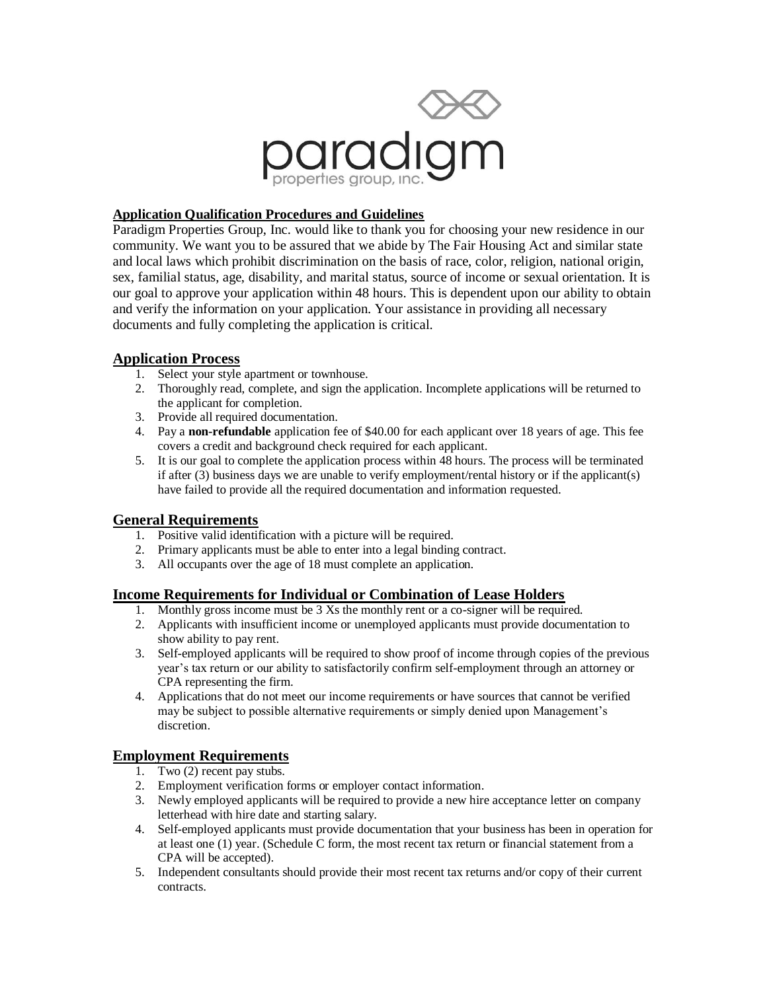

### **Application Qualification Procedures and Guidelines**

Paradigm Properties Group, Inc. would like to thank you for choosing your new residence in our community. We want you to be assured that we abide by The Fair Housing Act and similar state and local laws which prohibit discrimination on the basis of race, color, religion, national origin, sex, familial status, age, disability, and marital status, source of income or sexual orientation. It is our goal to approve your application within 48 hours. This is dependent upon our ability to obtain and verify the information on your application. Your assistance in providing all necessary documents and fully completing the application is critical.

#### **Application Process**

- 1. Select your style apartment or townhouse.
- 2. Thoroughly read, complete, and sign the application. Incomplete applications will be returned to the applicant for completion.
- 3. Provide all required documentation.
- 4. Pay a **non-refundable** application fee of \$40.00 for each applicant over 18 years of age. This fee covers a credit and background check required for each applicant.
- 5. It is our goal to complete the application process within 48 hours. The process will be terminated if after (3) business days we are unable to verify employment/rental history or if the applicant(s) have failed to provide all the required documentation and information requested.

### **General Requirements**

- 1. Positive valid identification with a picture will be required.
- 2. Primary applicants must be able to enter into a legal binding contract.
- 3. All occupants over the age of 18 must complete an application.

### **Income Requirements for Individual or Combination of Lease Holders**

- 1. Monthly gross income must be 3 Xs the monthly rent or a co-signer will be required.
- 2. Applicants with insufficient income or unemployed applicants must provide documentation to show ability to pay rent.
- 3. Self-employed applicants will be required to show proof of income through copies of the previous year's tax return or our ability to satisfactorily confirm self-employment through an attorney or CPA representing the firm.
- 4. Applications that do not meet our income requirements or have sources that cannot be verified may be subject to possible alternative requirements or simply denied upon Management's discretion.

# **Employment Requirements**

- 1. Two (2) recent pay stubs.
- 2. Employment verification forms or employer contact information.
- 3. Newly employed applicants will be required to provide a new hire acceptance letter on company letterhead with hire date and starting salary.
- 4. Self-employed applicants must provide documentation that your business has been in operation for at least one (1) year. (Schedule C form, the most recent tax return or financial statement from a CPA will be accepted).
- 5. Independent consultants should provide their most recent tax returns and/or copy of their current contracts.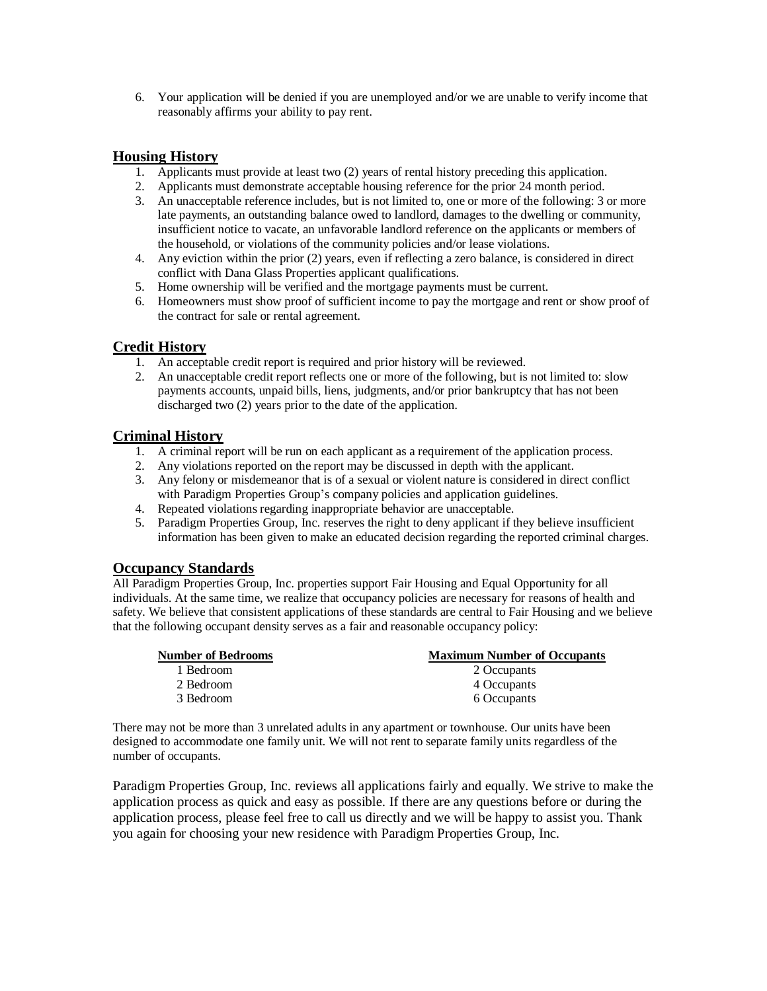6. Your application will be denied if you are unemployed and/or we are unable to verify income that reasonably affirms your ability to pay rent.

# **Housing History**

- 1. Applicants must provide at least two (2) years of rental history preceding this application.
- 2. Applicants must demonstrate acceptable housing reference for the prior 24 month period.
- 3. An unacceptable reference includes, but is not limited to, one or more of the following: 3 or more late payments, an outstanding balance owed to landlord, damages to the dwelling or community, insufficient notice to vacate, an unfavorable landlord reference on the applicants or members of the household, or violations of the community policies and/or lease violations.
- 4. Any eviction within the prior (2) years, even if reflecting a zero balance, is considered in direct conflict with Dana Glass Properties applicant qualifications.
- 5. Home ownership will be verified and the mortgage payments must be current.
- 6. Homeowners must show proof of sufficient income to pay the mortgage and rent or show proof of the contract for sale or rental agreement.

## **Credit History**

- 1. An acceptable credit report is required and prior history will be reviewed.
- 2. An unacceptable credit report reflects one or more of the following, but is not limited to: slow payments accounts, unpaid bills, liens, judgments, and/or prior bankruptcy that has not been discharged two (2) years prior to the date of the application.

### **Criminal History**

- 1. A criminal report will be run on each applicant as a requirement of the application process.
- 2. Any violations reported on the report may be discussed in depth with the applicant.
- 3. Any felony or misdemeanor that is of a sexual or violent nature is considered in direct conflict with Paradigm Properties Group's company policies and application guidelines.
- 4. Repeated violations regarding inappropriate behavior are unacceptable.
- 5. Paradigm Properties Group, Inc. reserves the right to deny applicant if they believe insufficient information has been given to make an educated decision regarding the reported criminal charges.

### **Occupancy Standards**

All Paradigm Properties Group, Inc. properties support Fair Housing and Equal Opportunity for all individuals. At the same time, we realize that occupancy policies are necessary for reasons of health and safety. We believe that consistent applications of these standards are central to Fair Housing and we believe that the following occupant density serves as a fair and reasonable occupancy policy:

| <b>Number of Bedrooms</b> | <b>Maximum Number of Occupants</b> |
|---------------------------|------------------------------------|
| 1 Bedroom                 | 2 Occupants                        |
| 2 Bedroom                 | 4 Occupants                        |
| 3 Bedroom                 | 6 Occupants                        |

There may not be more than 3 unrelated adults in any apartment or townhouse. Our units have been designed to accommodate one family unit. We will not rent to separate family units regardless of the number of occupants.

Paradigm Properties Group, Inc. reviews all applications fairly and equally. We strive to make the application process as quick and easy as possible. If there are any questions before or during the application process, please feel free to call us directly and we will be happy to assist you. Thank you again for choosing your new residence with Paradigm Properties Group, Inc.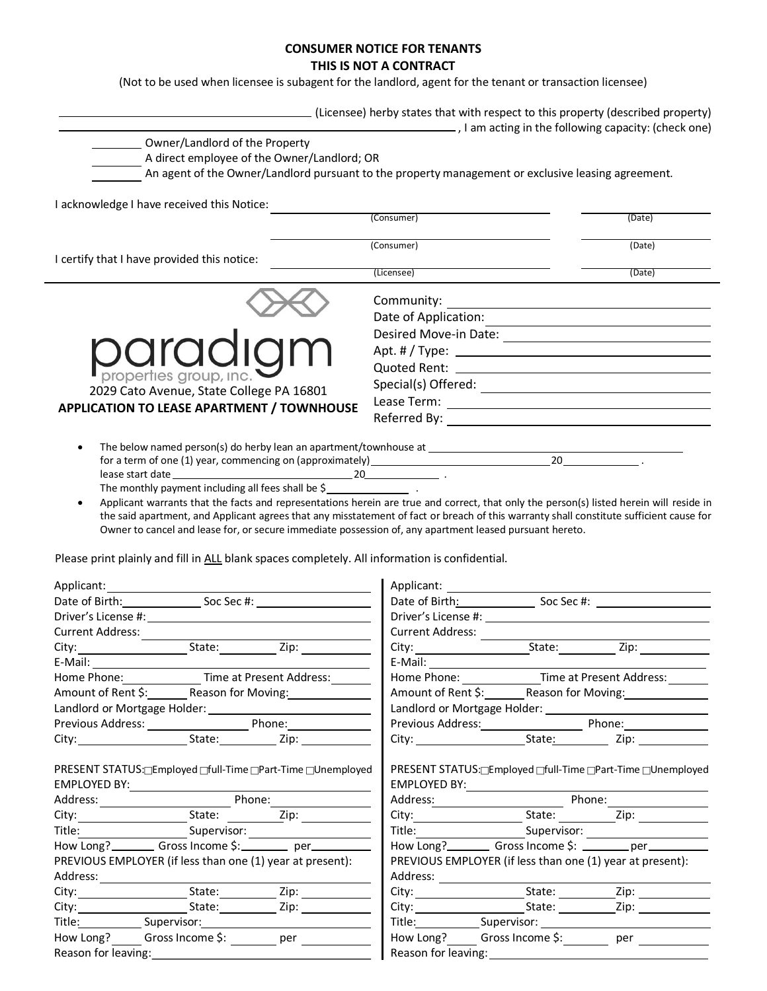# **CONSUMER NOTICE FOR TENANTS**

**THIS IS NOT A CONTRACT**

(Not to be used when licensee is subagent for the landlord, agent for the tenant or transaction licensee)

|                                                                                                                                                                                     | (Licensee) herby states that with respect to this property (described property)<br>Lam acting in the following capacity: (check one)                                                                                                                                                                                                                                                                                                                                     |                                                     |
|-------------------------------------------------------------------------------------------------------------------------------------------------------------------------------------|--------------------------------------------------------------------------------------------------------------------------------------------------------------------------------------------------------------------------------------------------------------------------------------------------------------------------------------------------------------------------------------------------------------------------------------------------------------------------|-----------------------------------------------------|
| Owner/Landlord of the Property<br>A direct employee of the Owner/Landlord; OR<br>An agent of the Owner/Landlord pursuant to the property management or exclusive leasing agreement. |                                                                                                                                                                                                                                                                                                                                                                                                                                                                          |                                                     |
| I acknowledge I have received this Notice:                                                                                                                                          |                                                                                                                                                                                                                                                                                                                                                                                                                                                                          |                                                     |
|                                                                                                                                                                                     | (Consumer)                                                                                                                                                                                                                                                                                                                                                                                                                                                               | (Date)                                              |
| I certify that I have provided this notice:                                                                                                                                         | (Consumer)                                                                                                                                                                                                                                                                                                                                                                                                                                                               | (Date)                                              |
|                                                                                                                                                                                     | (Licensee)                                                                                                                                                                                                                                                                                                                                                                                                                                                               | (Date)                                              |
|                                                                                                                                                                                     | Community:                                                                                                                                                                                                                                                                                                                                                                                                                                                               | <u> 1989 - Johann Barbara, martxa alemaniar arg</u> |
|                                                                                                                                                                                     |                                                                                                                                                                                                                                                                                                                                                                                                                                                                          |                                                     |
|                                                                                                                                                                                     |                                                                                                                                                                                                                                                                                                                                                                                                                                                                          |                                                     |
| paradiam                                                                                                                                                                            |                                                                                                                                                                                                                                                                                                                                                                                                                                                                          |                                                     |
|                                                                                                                                                                                     |                                                                                                                                                                                                                                                                                                                                                                                                                                                                          |                                                     |
| properties group, inc.                                                                                                                                                              |                                                                                                                                                                                                                                                                                                                                                                                                                                                                          |                                                     |
| 2029 Cato Avenue, State College PA 16801                                                                                                                                            | $\textsf{Special(s)} \text{  \textsf{offered}: } \underline{\hspace{2.5cm} \underline{\hspace{2.5cm}}\hspace{2.5cm}}\hspace{2.5cm} \underline{\hspace{2.5cm}}\hspace{2.5cm} \underline{\hspace{2.5cm}}\hspace{2.5cm}}\hspace{2.5cm} \underline{\hspace{2.5cm}}\hspace{2.5cm}\underline{\hspace{2.5cm}}\hspace{2.5cm}}\hspace{2.5cm}\underline{\hspace{2.5cm}}\hspace{2.5cm}\underline{\hspace{2.5cm}}\hspace{2.5cm}}\hspace{2.5cm}\underline{\hspace{2.5cm}}\hspace{2.5$ |                                                     |
| <b>APPLICATION TO LEASE APARTMENT / TOWNHOUSE</b>                                                                                                                                   |                                                                                                                                                                                                                                                                                                                                                                                                                                                                          |                                                     |
|                                                                                                                                                                                     |                                                                                                                                                                                                                                                                                                                                                                                                                                                                          |                                                     |
|                                                                                                                                                                                     |                                                                                                                                                                                                                                                                                                                                                                                                                                                                          |                                                     |
|                                                                                                                                                                                     |                                                                                                                                                                                                                                                                                                                                                                                                                                                                          |                                                     |
|                                                                                                                                                                                     |                                                                                                                                                                                                                                                                                                                                                                                                                                                                          |                                                     |
|                                                                                                                                                                                     |                                                                                                                                                                                                                                                                                                                                                                                                                                                                          |                                                     |
| Applicant warrants that the facts and representations herein are true and correct, that only the person(s) listed herein will reside in                                             |                                                                                                                                                                                                                                                                                                                                                                                                                                                                          |                                                     |
| the said apartment, and Applicant agrees that any misstatement of fact or breach of this warranty shall constitute sufficient cause for                                             |                                                                                                                                                                                                                                                                                                                                                                                                                                                                          |                                                     |
| Owner to cancel and lease for, or secure immediate possession of, any apartment leased pursuant hereto.                                                                             |                                                                                                                                                                                                                                                                                                                                                                                                                                                                          |                                                     |
| Please print plainly and fill in ALL blank spaces completely. All information is confidential.                                                                                      |                                                                                                                                                                                                                                                                                                                                                                                                                                                                          |                                                     |
| Applicant:                                                                                                                                                                          |                                                                                                                                                                                                                                                                                                                                                                                                                                                                          |                                                     |
|                                                                                                                                                                                     |                                                                                                                                                                                                                                                                                                                                                                                                                                                                          |                                                     |
|                                                                                                                                                                                     |                                                                                                                                                                                                                                                                                                                                                                                                                                                                          |                                                     |
|                                                                                                                                                                                     |                                                                                                                                                                                                                                                                                                                                                                                                                                                                          |                                                     |
|                                                                                                                                                                                     |                                                                                                                                                                                                                                                                                                                                                                                                                                                                          | $\overline{zip:$                                    |
|                                                                                                                                                                                     | $E-Mail:$                                                                                                                                                                                                                                                                                                                                                                                                                                                                |                                                     |
| Home Phone: ________________ Time at Present Address: _______                                                                                                                       | Home Phone: _______________Time at Present Address: _______                                                                                                                                                                                                                                                                                                                                                                                                              |                                                     |
| Amount of Rent \$: Reason for Moving: Manual Discount of Rent \$:                                                                                                                   | Amount of Rent \$: _______ Reason for Moving: ______________                                                                                                                                                                                                                                                                                                                                                                                                             |                                                     |
|                                                                                                                                                                                     |                                                                                                                                                                                                                                                                                                                                                                                                                                                                          |                                                     |
|                                                                                                                                                                                     | Previous Address: Phone: Phone:                                                                                                                                                                                                                                                                                                                                                                                                                                          |                                                     |
|                                                                                                                                                                                     |                                                                                                                                                                                                                                                                                                                                                                                                                                                                          |                                                     |
|                                                                                                                                                                                     |                                                                                                                                                                                                                                                                                                                                                                                                                                                                          |                                                     |
| PRESENT STATUS: Employed Full-Time Part-Time DInemployed                                                                                                                            | PRESENT STATUS:□Employed □full-Time □Part-Time □Unemployed                                                                                                                                                                                                                                                                                                                                                                                                               |                                                     |
|                                                                                                                                                                                     |                                                                                                                                                                                                                                                                                                                                                                                                                                                                          |                                                     |
|                                                                                                                                                                                     | City: City: City: City: City: City: City: City: City: City: City: City: City: City: City: City: City: City: City: City: City: City: City: City: City: City: City: City: City: City: City: City: City: City: City: City: City:                                                                                                                                                                                                                                            |                                                     |
|                                                                                                                                                                                     |                                                                                                                                                                                                                                                                                                                                                                                                                                                                          |                                                     |
|                                                                                                                                                                                     |                                                                                                                                                                                                                                                                                                                                                                                                                                                                          |                                                     |
| PREVIOUS EMPLOYER (if less than one (1) year at present):                                                                                                                           | PREVIOUS EMPLOYER (if less than one (1) year at present):                                                                                                                                                                                                                                                                                                                                                                                                                |                                                     |
|                                                                                                                                                                                     |                                                                                                                                                                                                                                                                                                                                                                                                                                                                          |                                                     |
|                                                                                                                                                                                     |                                                                                                                                                                                                                                                                                                                                                                                                                                                                          |                                                     |
|                                                                                                                                                                                     |                                                                                                                                                                                                                                                                                                                                                                                                                                                                          |                                                     |

| City:               | State:           | Zip: |  |  |  |
|---------------------|------------------|------|--|--|--|
| Title:              | Supervisor:      |      |  |  |  |
| How Long?           | Gross Income \$: | per  |  |  |  |
| Reason for leaving: |                  |      |  |  |  |

| Address:  |                                            |      |
|-----------|--------------------------------------------|------|
| City:     | State:                                     | Zip: |
| City:     | State:                                     | Zip: |
|           | Title: ___________________Supervisor: ____ |      |
| How Long? | Gross Income \$:                           | per  |